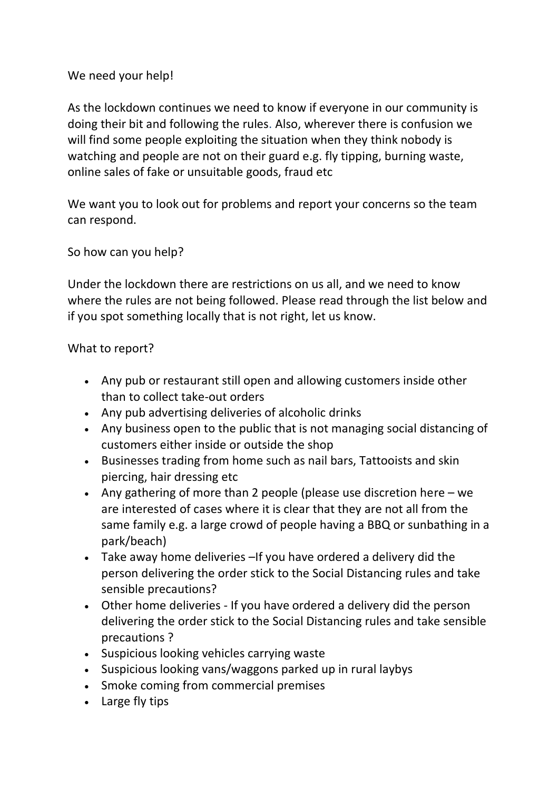## We need your help!

As the lockdown continues we need to know if everyone in our community is doing their bit and following the rules. Also, wherever there is confusion we will find some people exploiting the situation when they think nobody is watching and people are not on their guard e.g. fly tipping, burning waste, online sales of fake or unsuitable goods, fraud etc

We want you to look out for problems and report your concerns so the team can respond.

So how can you help?

Under the lockdown there are restrictions on us all, and we need to know where the rules are not being followed. Please read through the list below and if you spot something locally that is not right, let us know.

## What to report?

- Any pub or restaurant still open and allowing customers inside other than to collect take-out orders
- Any pub advertising deliveries of alcoholic drinks
- Any business open to the public that is not managing social distancing of customers either inside or outside the shop
- Businesses trading from home such as nail bars, Tattooists and skin piercing, hair dressing etc
- Any gathering of more than 2 people (please use discretion here we are interested of cases where it is clear that they are not all from the same family e.g. a large crowd of people having a BBQ or sunbathing in a park/beach)
- Take away home deliveries –If you have ordered a delivery did the person delivering the order stick to the Social Distancing rules and take sensible precautions?
- Other home deliveries If you have ordered a delivery did the person delivering the order stick to the Social Distancing rules and take sensible precautions ?
- Suspicious looking vehicles carrying waste
- Suspicious looking vans/waggons parked up in rural laybys
- Smoke coming from commercial premises
- Large fly tips